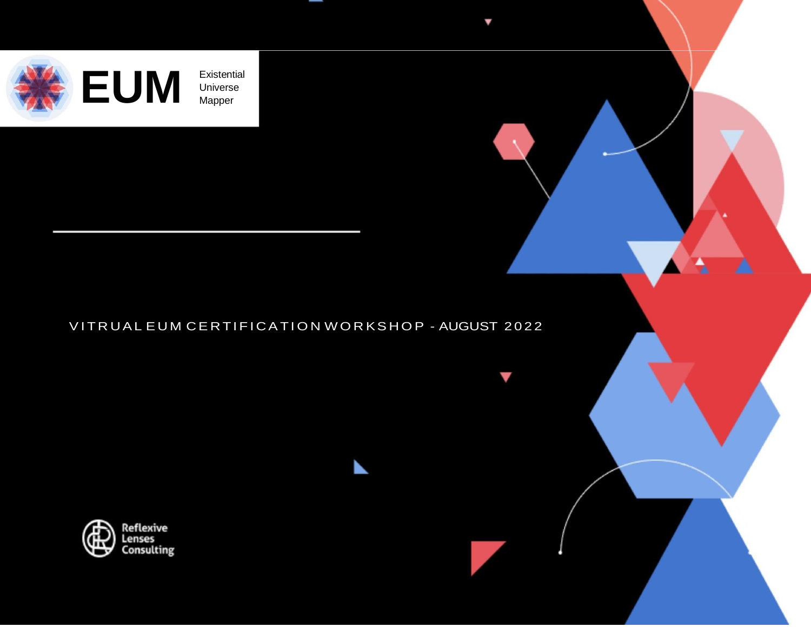

Universe Mapper

## VITRUAL EUM CERTIFICATION WORKSHOP - AUGUST 2022

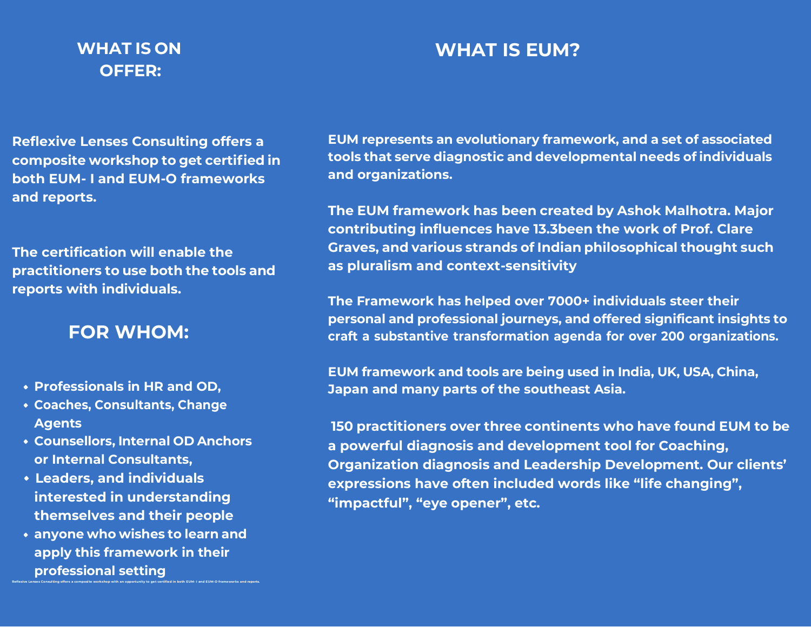# **WHAT IS ON OFFER:**

# **WHAT IS EUM?**

**Reflexive Lenses Consulting offers a composite workshop to get certified in both EUM- I and EUM-O frameworks and reports.**

**The certification will enable the practitioners to use both the tools and reports with individuals.**

# **FOR WHOM:**

- **Professionals in HR and OD,**
- **Coaches, Consultants, Change Agents**
- **Counsellors, Internal OD Anchors or Internal Consultants,**
- **Leaders, and individuals interested in understanding themselves and their people**
- **anyone who wishes to learn and apply this framework in their professional setting**

Reflexive Lenses Consulting offers a composite workshop with an opportunity to get certified in both EUM-I and EUM-O frameworks and reports.

**EUM represents an evolutionary framework, and a set of associated tools that serve diagnostic and developmental needs ofindividuals and organizations.**

**The EUM framework has been created by Ashok Malhotra. Major contributing influences have 13.3been the work of Prof. Clare Graves, and various strands of Indian philosophical thought such as pluralism and context-sensitivity**

**The Framework has helped over 7000+ individuals steer their personal and professional journeys, and offered significant insights to craft a substantive transformation agenda for over 200 organizations.**

**EUM framework and tools are being used in India, UK, USA, China, Japan and many parts of the southeast Asia.**

**150 practitioners over three continents who have found EUM to be a powerful diagnosis and development tool for Coaching, Organization diagnosis and Leadership Development. Our clients' expressions have often included words like "life changing", "impactful", "eye opener", etc.**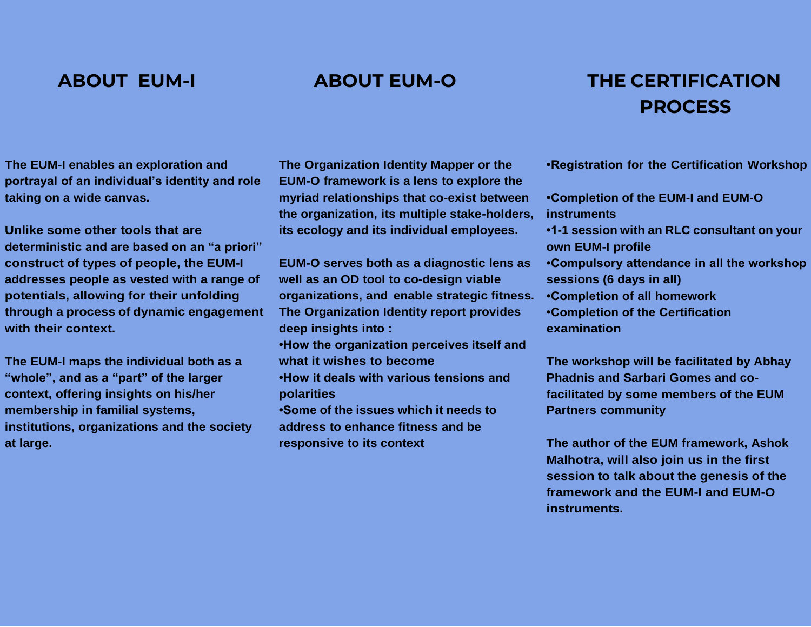# **ABOUT EUM-I ABOUT EUM-O THE CERTIFICATION PROCESS**

**The EUM-I enables an exploration and portrayal of an individual's identity and role taking on a wide canvas.**

**Unlike some other tools that are deterministic and are based on an "a priori" construct of types of people, the EUM-I addresses people as vested with a range of potentials, allowing for their unfolding through a process of dynamic engagement with their context.**

**The EUM-I maps the individual both as a "whole", and as a "part" of the larger context, offering insights on his/her membership in familial systems, institutions, organizations and the society at large.**

**The Organization Identity Mapper or the EUM-O framework is a lens to explore the myriad relationships that co-exist between the organization, its multiple stake-holders, its ecology and its individual employees.**

- **EUM-O serves both as a diagnostic lens as well as an OD tool to co-design viable organizations, and enable strategic fitness. The Organization Identity report provides deep insights into :**
- **•How the organization perceives itself and what it wishes to become**
- **•How it deals with various tensions and polarities**
- **•Some of the issues which it needs to address to enhance fitness and be responsive to its context**
- **•Registration for the Certification Workshop**
- **•Completion of the EUM-I and EUM-O instruments**
- **•1-1 session with an RLC consultant on your own EUM-I profile**
- **•Compulsory attendance in all the workshop sessions (6 days in all)**
- **•Completion of all homework**
- **•Completion of the Certification examination**

**The workshop will be facilitated by Abhay Phadnis and Sarbari Gomes and cofacilitated by some members of the EUM Partners community**

**The author of the EUM framework, Ashok Malhotra, will also join us in the first session to talk about the genesis of the framework and the EUM-I and EUM-O instruments.**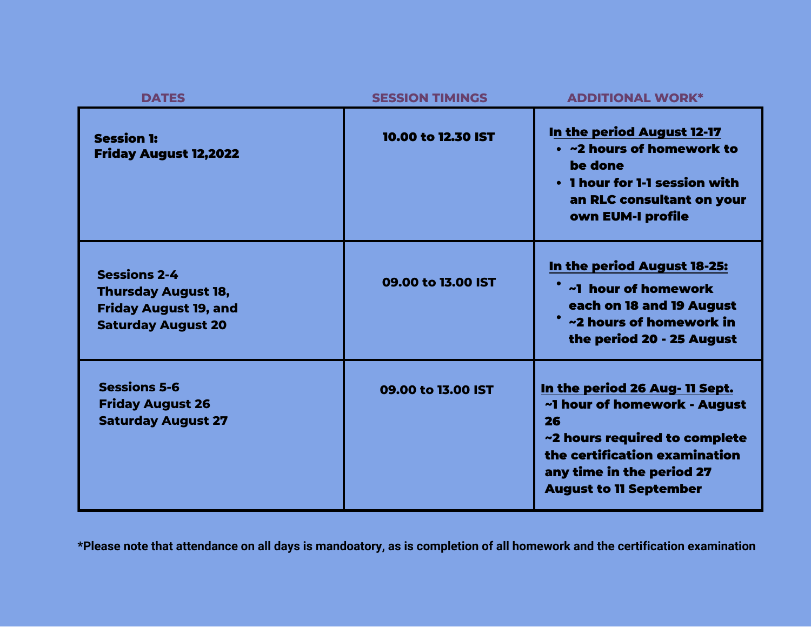| <b>DATES</b>                                                                                                   | <b>SESSION TIMINGS</b> | <b>ADDITIONAL WORK*</b>                                                                                                                                                                              |
|----------------------------------------------------------------------------------------------------------------|------------------------|------------------------------------------------------------------------------------------------------------------------------------------------------------------------------------------------------|
| <b>Session 1:</b><br><b>Friday August 12,2022</b>                                                              | 10.00 to 12.30 IST     | In the period August 12-17<br>• ~2 hours of homework to<br>be done<br>. I hour for 1-1 session with<br>an RLC consultant on your<br>own EUM-I profile                                                |
| <b>Sessions 2-4</b><br><b>Thursday August 18,</b><br><b>Friday August 19, and</b><br><b>Saturday August 20</b> | 09.00 to 13.00 IST     | <u>In the period August 18-25:</u><br>~1 hour of homework<br>each on 18 and 19 August<br>~2 hours of homework in<br>the period 20 - 25 August                                                        |
| <b>Sessions 5-6</b><br><b>Friday August 26</b><br><b>Saturday August 27</b>                                    | 09.00 to 13.00 IST     | In the period 26 Aug- 11 Sept.<br>~1 hour of homework - August<br>26<br>~2 hours required to complete<br>the certification examination<br>any time in the period 27<br><b>August to 11 September</b> |

**\*Please note that attendance on all days is mandoatory, as is completion of all homework and the certification examination**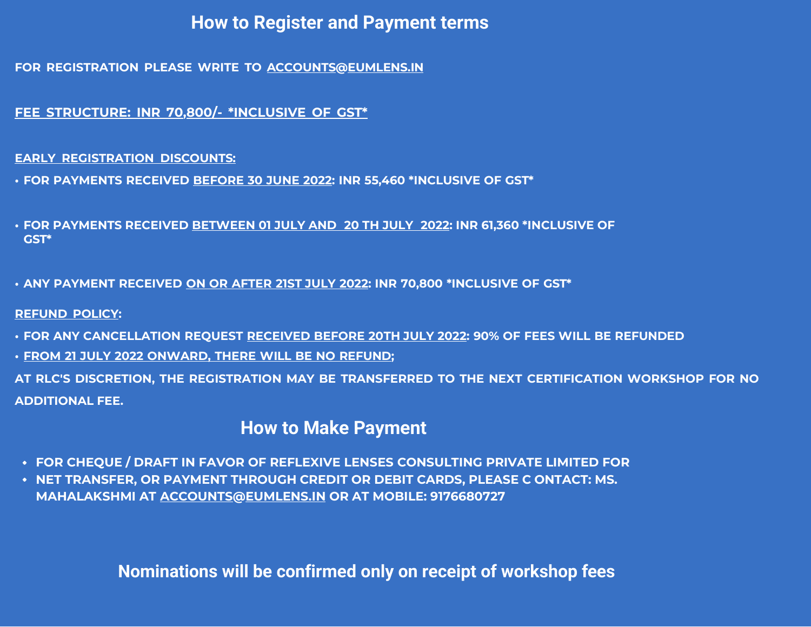# **How to Register and Payment terms**

**FOR REGISTRATION PLEASE WRITE TO [ACCOUNTS@EUMLENS.IN](mailto:accounts@eumlens.in)**

**FEE STRUCTURE: INR 70,800/- \*INCLUSIVE OF GST\***

**EARLY REGISTRATION DISCOUNTS:**

**• FOR PAYMENTS RECEIVED BEFORE 30 JUNE 2022: INR 55,460 \*INCLUSIVE OF GST\***

**• FOR PAYMENTS RECEIVED BETWEEN 01 JULY AND 20 TH JULY 2022: INR 61,360 \*INCLUSIVE OF GST\***

**• ANY PAYMENT RECEIVED ON OR AFTER 21ST JULY 2022: INR 70,800 \*INCLUSIVE OF GST\***

**REFUND POLICY:**

**• FOR ANY CANCELLATION REQUEST RECEIVED BEFORE 20TH JULY 2022: 90% OF FEES WILL BE REFUNDED**

**• FROM 21 JULY 2022 ONWARD, THERE WILL BE NO REFUND;**

**AT RLC'S DISCRETION, THE REGISTRATION MAY BE TRANSFERRED TO THE NEXT CERTIFICATION WORKSHOP FOR NO ADDITIONAL FEE.**

# **How to Make Payment**

- **FOR CHEQUE / DRAFT IN FAVOR OF REFLEXIVE LENSES CONSULTING PRIVATE LIMITED FOR**
- **NET TRANSFER, OR PAYMENT THROUGH CREDIT OR DEBIT CARDS, PLEASE C ONTACT: MS. MAHALAKSHMI AT [ACCOUNTS@EUMLENS.IN](mailto:accounts@eumlens.in) OR AT MOBILE: 9176680727**

**Nominations will be confirmed only on receipt of workshop fees**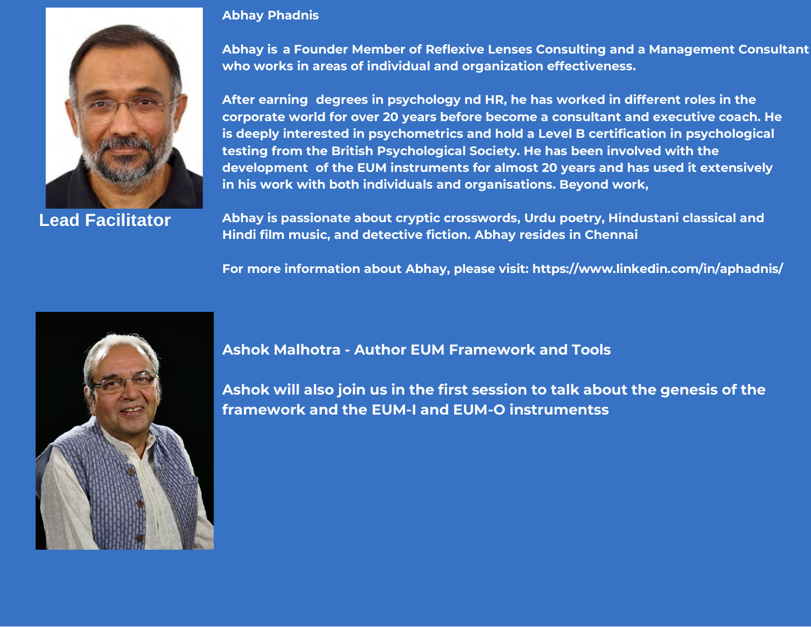

**Lead Facilitator**

### **Abhay Phadnis**

**Abhay is a Founder Member of Reflexive Lenses Consulting and a Management Consultant who works in areas of individual and organization effectiveness.**

**After earning degrees in psychology nd HR, he has worked in different roles in the corporate world for over 20 years before become a consultant and executive coach. He is deeply interested in psychometrics and hold a Level B certification in psychological testing from the British Psychological Society. He has been involved with the development of the EUM instruments for almost 20 years and has used it extensively in his work with both individuals and organisations. Beyond work,**

**Abhay is passionate about cryptic crosswords, Urdu poetry, Hindustani classical and Hindi film music, and detective fiction. Abhay resides in Chennai**

**For more information about Abhay, please visit: https:/[/www.linkedin.com/in/aphadnis/](http://www.linkedin.com/in/aphadnis/)**



### **Ashok Malhotra - Author EUM Framework and Tools**

**Ashok will also join us in the first session to talk about the genesis of the framework and the EUM-I and EUM-O instrumentss**